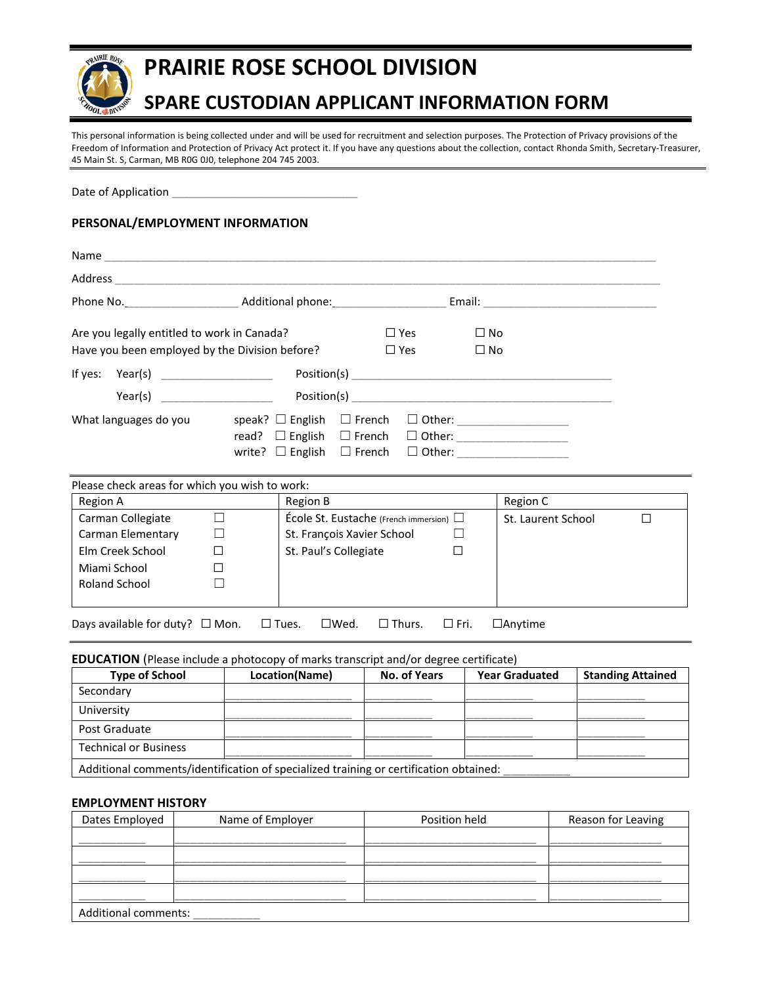

# **PRAIRIE ROSE SCHOOL DIVISION**

# **SPARE CUSTODIAN APPLICANT INFORMATION FORM**

This personal information is being collected under and will be used for recruitment and selection purposes. The Protection of Privacy provisions of the Freedom of Information and Protection of Privacy Act protect it. If you have any questions about the collection, contact Rhonda Smith, Secretary-Treasurer, 45 Main St. S, Carman, MB R0G 0J0, telephone 204 745 2003.

Date of Application

## **PERSONAL/EMPLOYMENT INFORMATION**

| Name and the state of the state of the state of the state of the state of the state of the state of the state |                                                                                                    |               |            |                               |  |
|---------------------------------------------------------------------------------------------------------------|----------------------------------------------------------------------------------------------------|---------------|------------|-------------------------------|--|
| Address                                                                                                       |                                                                                                    |               |            |                               |  |
|                                                                                                               | Additional phone: National Phone:                                                                  |               |            |                               |  |
| Are you legally entitled to work in Canada?                                                                   |                                                                                                    |               | $\Box$ Yes | $\square$ No                  |  |
| Have you been employed by the Division before?                                                                |                                                                                                    |               | $\Box$ Yes | $\Box$ No                     |  |
| If yes: $Year(s)$ _____________________                                                                       |                                                                                                    |               |            |                               |  |
| Year(s)                                                                                                       |                                                                                                    |               |            |                               |  |
| What languages do you                                                                                         | speak? $\Box$ English<br>read? $\Box$ English $\Box$ French<br>write? $\Box$ English $\Box$ French | $\Box$ French |            | □ Other: ____________________ |  |

Please check areas for which you wish to work:

| Region B                                     | Region C           |
|----------------------------------------------|--------------------|
| École St. Eustache (French immersion) $\Box$ | St. Laurent School |
| St. François Xavier School                   |                    |
| St. Paul's Collegiate                        |                    |
|                                              |                    |
|                                              |                    |
|                                              |                    |
|                                              |                    |

## Days available for duty? □ Mon. □ Tues. □ Wed. □ Thurs. □ Fri. □ Anytime

#### **EDUCATION** (Please include a photocopy of marks transcript and/or degree certificate)

| <b>Type of School</b>                                                                 | Location(Name) | No. of Years | <b>Year Graduated</b> | <b>Standing Attained</b> |
|---------------------------------------------------------------------------------------|----------------|--------------|-----------------------|--------------------------|
| Secondary                                                                             |                |              |                       |                          |
| University                                                                            |                |              |                       |                          |
| Post Graduate                                                                         |                |              |                       |                          |
| <b>Technical or Business</b>                                                          |                |              |                       |                          |
| Additional comments/identification of specialized training or certification obtained: |                |              |                       |                          |

#### **EMPLOYMENT HISTORY**

| Dates Employed              | Name of Employer | Position held | Reason for Leaving |
|-----------------------------|------------------|---------------|--------------------|
|                             |                  |               |                    |
|                             |                  |               |                    |
|                             |                  |               |                    |
|                             |                  |               |                    |
| <b>Additional comments:</b> |                  |               |                    |